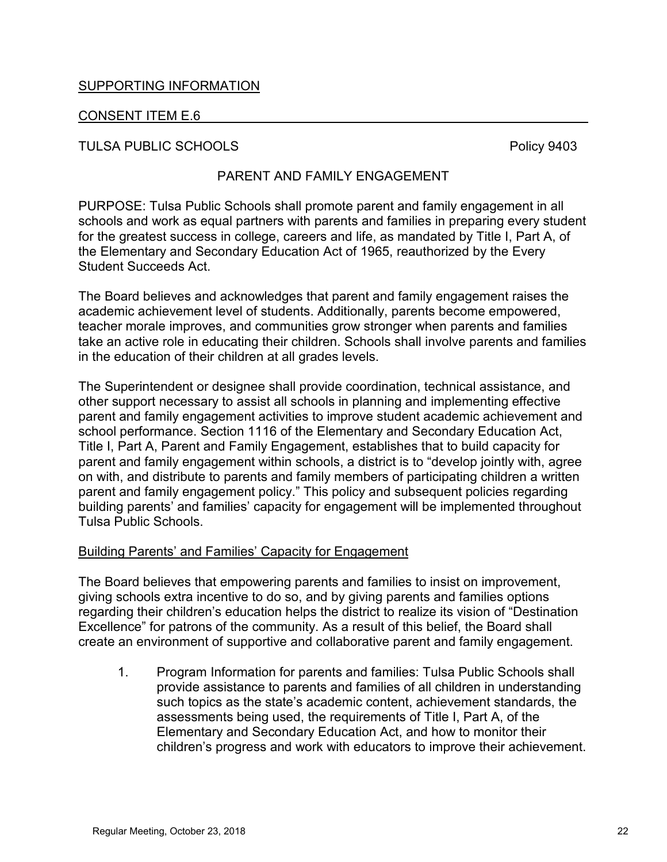## SUPPORTING INFORMATION

## CONSENT ITEM E.6

TULSA PUBLIC SCHOOLS **POLICE SCHOOLS Policy 9403** 

## PARENT AND FAMILY ENGAGEMENT

PURPOSE: Tulsa Public Schools shall promote parent and family engagement in all schools and work as equal partners with parents and families in preparing every student for the greatest success in college, careers and life, as mandated by Title I, Part A, of the Elementary and Secondary Education Act of 1965, reauthorized by the Every Student Succeeds Act.

The Board believes and acknowledges that parent and family engagement raises the academic achievement level of students. Additionally, parents become empowered, teacher morale improves, and communities grow stronger when parents and families take an active role in educating their children. Schools shall involve parents and families in the education of their children at all grades levels.

The Superintendent or designee shall provide coordination, technical assistance, and other support necessary to assist all schools in planning and implementing effective parent and family engagement activities to improve student academic achievement and school performance. Section 1116 of the Elementary and Secondary Education Act, Title I, Part A, Parent and Family Engagement, establishes that to build capacity for parent and family engagement within schools, a district is to "develop jointly with, agree on with, and distribute to parents and family members of participating children a written parent and family engagement policy." This policy and subsequent policies regarding building parents' and families' capacity for engagement will be implemented throughout Tulsa Public Schools.

## Building Parents' and Families' Capacity for Engagement

The Board believes that empowering parents and families to insist on improvement, giving schools extra incentive to do so, and by giving parents and families options regarding their children's education helps the district to realize its vision of "Destination Excellence" for patrons of the community. As a result of this belief, the Board shall create an environment of supportive and collaborative parent and family engagement.

1. Program Information for parents and families: Tulsa Public Schools shall provide assistance to parents and families of all children in understanding such topics as the state's academic content, achievement standards, the assessments being used, the requirements of Title I, Part A, of the Elementary and Secondary Education Act, and how to monitor their children's progress and work with educators to improve their achievement.